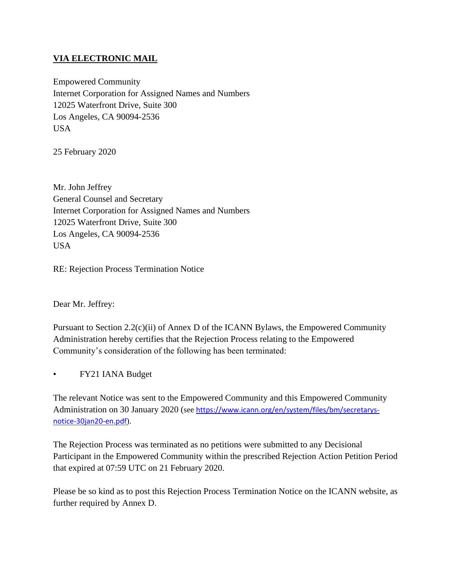## **VIA ELECTRONIC MAIL**

Empowered Community Internet Corporation for Assigned Names and Numbers 12025 Waterfront Drive, Suite 300 Los Angeles, CA 90094-2536 USA

25 February 2020

Mr. John Jeffrey General Counsel and Secretary Internet Corporation for Assigned Names and Numbers 12025 Waterfront Drive, Suite 300 Los Angeles, CA 90094-2536 USA

RE: Rejection Process Termination Notice

Dear Mr. Jeffrey:

Pursuant to Section 2.2(c)(ii) of Annex D of the ICANN Bylaws, the Empowered Community Administration hereby certifies that the Rejection Process relating to the Empowered Community's consideration of the following has been terminated:

• FY21 IANA Budget

The relevant Notice was sent to the Empowered Community and this Empowered Community Administration on 30 January 2020 (see [https://www.icann.org/en/system/files/bm/secretarys](https://www.icann.org/en/system/files/bm/secretarys-notice-30jan20-en.pdf)[notice-30jan20-en.pdf](https://www.icann.org/en/system/files/bm/secretarys-notice-30jan20-en.pdf)).

The Rejection Process was terminated as no petitions were submitted to any Decisional Participant in the Empowered Community within the prescribed Rejection Action Petition Period that expired at 07:59 UTC on 21 February 2020.

Please be so kind as to post this Rejection Process Termination Notice on the ICANN website, as further required by Annex D.